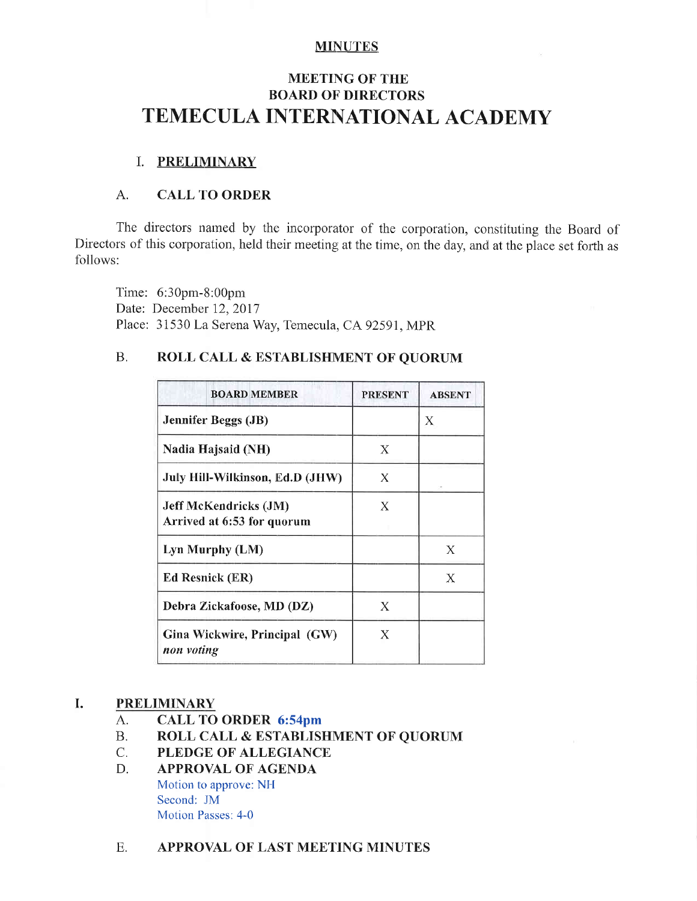### **MINUTES**

# **MEETING OF THE BOARD OF DIRECTORS** TEMECULA INTERNATIONAL ACADEMY

# I. PRELIMINARY

# A. CALL TO ORDER

The directors named by the incorporator of the corporation, constituting the Board of Directors of this corporation, held their meeting at the time, on the day, and at the place set forth as follows:

Time: 6:30pm-8:00pm Date: December 12.2017 Place: 31530 La Serena Way, Temecula, CA 92591, MPR

# B. ROLL CALL & ESTABLISHMENT OF QUORUM

| <b>BOARD MEMBER</b>                                        | <b>PRESENT</b> | <b>ABSENT</b> |
|------------------------------------------------------------|----------------|---------------|
| <b>Jennifer Beggs (JB)</b>                                 |                | X             |
| Nadia Hajsaid (NH)                                         | Х              |               |
| July Hill-Wilkinson, Ed.D (JHW)                            | X              |               |
| <b>Jeff McKendricks (JM)</b><br>Arrived at 6:53 for quorum | X              |               |
| Lyn Murphy (LM)                                            |                | X             |
| <b>Ed Resnick (ER)</b>                                     |                | Χ             |
| Debra Zickafoose, MD (DZ)                                  | X              |               |
| Gina Wickwire, Principal (GW)<br>non voting                | X              |               |

# I. PRELIMINARY

- A. CALL TO ORDER 6:54pm<br>B. ROLL CALL & ESTABLIS
- B. ROLL CALL & ESTABLISHMENT OF QUORUM<br>C. PLEDGE OF ALLEGIANCE
- C. PLEDGE OF ALLEGIANCE<br>D. APPROVAL OF AGENDA
- APPROVAL OF AGENDA Motion to approve: NH Second: JM Motion Passes: 4-0
- E. APPROVAL OF LAST MEETING MINUTES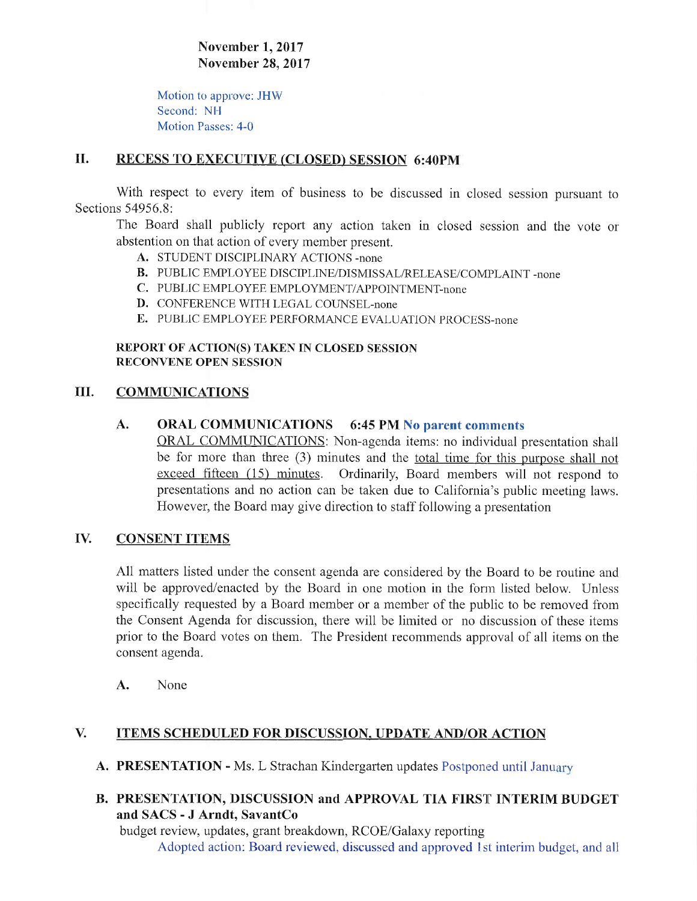November 1, 2017 Novernber 28,2017

Motion to approve: JHW Second: NH Motion Passes: 4-0

# II. RECESS TO EXECUTIVE (CLOSED) SESSION 6:40PM

With respect to every item of business to be discussed in closed session pursuant to Sections 54956.8:

The Board shall publicly report any action taken in closed session and the vote or abstention on that action of every member present.

- A. STUDENT DISCIPLINARY ACTIONS -none
- B. PUBLIC EMPLOYEE DISCIPLINE/DISMISSAL/RELEASE/COMPLAINT -none
- C. PUBLIC EMPLOYEE EMPLOYMENT/APPOINTMENT-none
- D. CONFERENCE WITH LEGAL COUNSEL-none
- E. PUBLIC EMPLOYEE PERFORMANCE EVALUATION PROCESS-none

### REPORT OF ACTION(S) TAKEN IN CLOSED SESSION RECONVENE OPEN SESSION

#### III. COMMUNICATIONS

## A. ORAL COMMUNICATIONS 6:45 PM No parent comments

**ORAL COMMUNICATIONS:** Non-agenda items: no individual presentation shall be for more than three  $(3)$  minutes and the <u>total time for this purpose shall not</u> exceed fifteen (15) minutes. Ordinarily, Board members will not respond to presentations and no action can be taken due to California's public meeting laws. However, the Board may give direction to staff following a presentation

#### **CONSENT ITEMS** IV.

All matters listed under the consent agenda are considered by the Board to be routine and will be approved/enacted by the Board in one motion in the form listed below. Unless specifically requested by a Board member or a member of the public to be removed from the Consent Agenda for discussion, there will be limited or no discussion of these items prior to the Board votes on them. The President recommends approval of all items on the consent agenda.

A. None

# V. ITEMS SCHEDULED FOR DISCUSSION, UPDATE AND/OR ACTION

- A. PRESENTATION Ms. L Strachan Kindergarten updates Postponed until January
- B. PRESENTATION, DISCUSSION and APPROVAL TIA FIRST INTERIM BUDGET and SACS - J Arndt. SavantCo

budget review, updates, grant breakdown, RCOE/Galaxy reporting Adopted action: Board reviewed, discussed and approved lst interim budget, and all